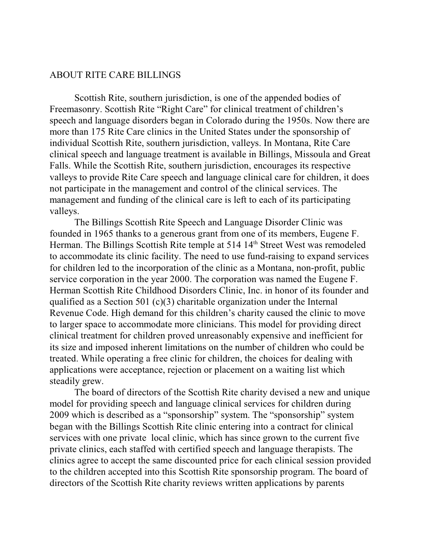## ABOUT RITE CARE BILLINGS

Scottish Rite, southern jurisdiction, is one of the appended bodies of Freemasonry. Scottish Rite "Right Care" for clinical treatment of children's speech and language disorders began in Colorado during the 1950s. Now there are more than 175 Rite Care clinics in the United States under the sponsorship of individual Scottish Rite, southern jurisdiction, valleys. In Montana, Rite Care clinical speech and language treatment is available in Billings, Missoula and Great Falls. While the Scottish Rite, southern jurisdiction, encourages its respective valleys to provide Rite Care speech and language clinical care for children, it does not participate in the management and control of the clinical services. The management and funding of the clinical care is left to each of its participating valleys.

The Billings Scottish Rite Speech and Language Disorder Clinic was founded in 1965 thanks to a generous grant from one of its members, Eugene F. Herman. The Billings Scottish Rite temple at 514 14<sup>th</sup> Street West was remodeled to accommodate its clinic facility. The need to use fund-raising to expand services for children led to the incorporation of the clinic as a Montana, non-profit, public service corporation in the year 2000. The corporation was named the Eugene F. Herman Scottish Rite Childhood Disorders Clinic, Inc. in honor of its founder and qualified as a Section 501 (c)(3) charitable organization under the Internal Revenue Code. High demand for this children's charity caused the clinic to move to larger space to accommodate more clinicians. This model for providing direct clinical treatment for children proved unreasonably expensive and inefficient for its size and imposed inherent limitations on the number of children who could be treated. While operating a free clinic for children, the choices for dealing with applications were acceptance, rejection or placement on a waiting list which steadily grew.

The board of directors of the Scottish Rite charity devised a new and unique model for providing speech and language clinical services for children during 2009 which is described as a "sponsorship" system. The "sponsorship" system began with the Billings Scottish Rite clinic entering into a contract for clinical services with one private local clinic, which has since grown to the current five private clinics, each staffed with certified speech and language therapists. The clinics agree to accept the same discounted price for each clinical session provided to the children accepted into this Scottish Rite sponsorship program. The board of directors of the Scottish Rite charity reviews written applications by parents